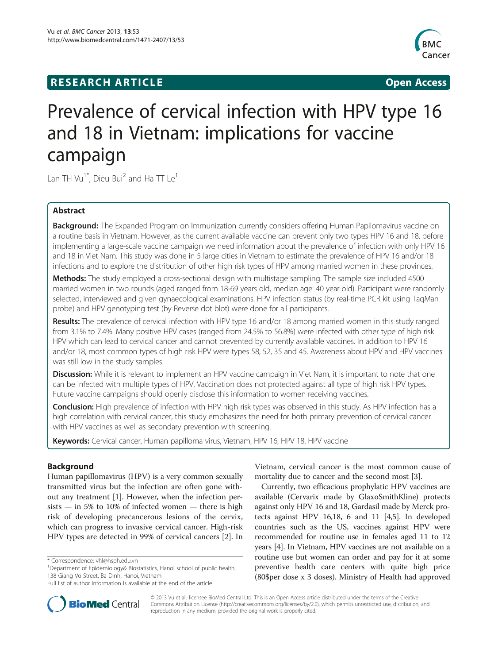# **RESEARCH ARTICLE Example 2018 12:00 Department of the CONNECTION CONNECTION CONNECTION CONNECTION**



# Prevalence of cervical infection with HPV type 16 and 18 in Vietnam: implications for vaccine campaign

Lan TH Vu<sup>1\*</sup>, Dieu Bui<sup>2</sup> and Ha TT Le<sup>1</sup>

# Abstract

Background: The Expanded Program on Immunization currently considers offering Human Papilomavirus vaccine on a routine basis in Vietnam. However, as the current available vaccine can prevent only two types HPV 16 and 18, before implementing a large-scale vaccine campaign we need information about the prevalence of infection with only HPV 16 and 18 in Viet Nam. This study was done in 5 large cities in Vietnam to estimate the prevalence of HPV 16 and/or 18 infections and to explore the distribution of other high risk types of HPV among married women in these provinces.

**Methods:** The study employed a cross-sectional design with multistage sampling. The sample size included 4500 married women in two rounds (aged ranged from 18-69 years old, median age: 40 year old). Participant were randomly selected, interviewed and given gynaecological examinations. HPV infection status (by real-time PCR kit using TaqMan probe) and HPV genotyping test (by Reverse dot blot) were done for all participants.

Results: The prevalence of cervical infection with HPV type 16 and/or 18 among married women in this study ranged from 3.1% to 7.4%. Many positive HPV cases (ranged from 24.5% to 56.8%) were infected with other type of high risk HPV which can lead to cervical cancer and cannot prevented by currently available vaccines. In addition to HPV 16 and/or 18, most common types of high risk HPV were types 58, 52, 35 and 45. Awareness about HPV and HPV vaccines was still low in the study samples.

Discussion: While it is relevant to implement an HPV vaccine campaign in Viet Nam, it is important to note that one can be infected with multiple types of HPV. Vaccination does not protected against all type of high risk HPV types. Future vaccine campaigns should openly disclose this information to women receiving vaccines.

Conclusion: High prevalence of infection with HPV high risk types was observed in this study. As HPV infection has a high correlation with cervical cancer, this study emphasizes the need for both primary prevention of cervical cancer with HPV vaccines as well as secondary prevention with screening.

Keywords: Cervical cancer, Human papilloma virus, Vietnam, HPV 16, HPV 18, HPV vaccine

# Background

Human papillomavirus (HPV) is a very common sexually transmitted virus but the infection are often gone without any treatment [[1\]](#page-5-0). However, when the infection per $sists - in 5%$  to 10% of infected women  $-$  there is high risk of developing precancerous lesions of the cervix, which can progress to invasive cervical cancer. High-risk HPV types are detected in 99% of cervical cancers [[2\]](#page-5-0). In



Currently, two efficacious prophylatic HPV vaccines are available (Cervarix made by GlaxoSmithKline) protects against only HPV 16 and 18, Gardasil made by Merck protects against HPV 16,18, 6 and 11 [[4,5](#page-5-0)]. In developed countries such as the US, vaccines against HPV were recommended for routine use in females aged 11 to 12 years [\[4\]](#page-5-0). In Vietnam, HPV vaccines are not available on a routine use but women can order and pay for it at some preventive health care centers with quite high price (80\$per dose x 3 doses). Ministry of Health had approved



© 2013 Vu et al.; licensee BioMed Central Ltd. This is an Open Access article distributed under the terms of the Creative Commons Attribution License [\(http://creativecommons.org/licenses/by/2.0\)](http://creativecommons.org/licenses/by/2.0), which permits unrestricted use, distribution, and reproduction in any medium, provided the original work is properly cited.

<sup>\*</sup> Correspondence: [vhl@hsph.edu.vn](mailto:vhl@hsph.edu.vn) <sup>1</sup>

<sup>&</sup>lt;sup>1</sup>Department of Epidemiology& Biostatistics, Hanoi school of public health, 138 Giang Vo Street, Ba Dinh, Hanoi, Vietnam

Full list of author information is available at the end of the article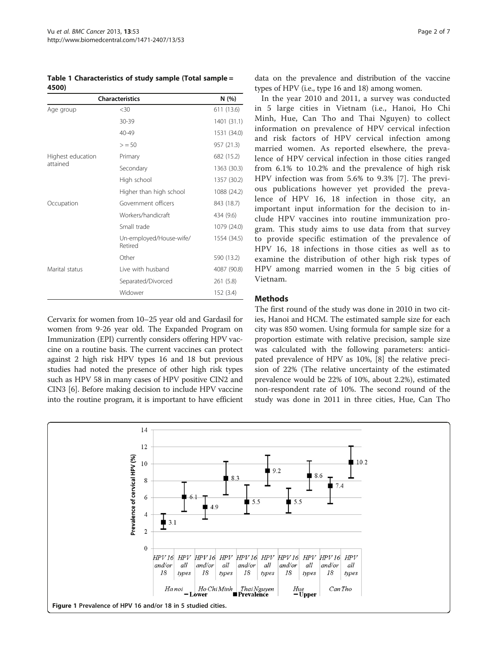<span id="page-1-0"></span>Table 1 Characteristics of study sample (Total sample = 4500)

| <b>Characteristics</b>        | N (%)                              |             |
|-------------------------------|------------------------------------|-------------|
| Age group                     | <30                                | 611 (13.6)  |
|                               | 30-39                              | 1401 (31.1) |
|                               | 40-49                              | 1531 (34.0) |
|                               | > 50                               | 957 (21.3)  |
| Highest education<br>attained | Primary                            | 682 (15.2)  |
|                               | Secondary                          | 1363 (30.3) |
|                               | High school                        | 1357 (30.2) |
|                               | Higher than high school            | 1088 (24.2) |
| Occupation                    | Government officers                | 843 (18.7)  |
|                               | Workers/handicraft                 | 434 (9.6)   |
|                               | Small trade                        | 1079 (24.0) |
|                               | Un-employed/House-wife/<br>Retired | 1554 (34.5) |
|                               | Other                              | 590 (13.2)  |
| Marital status                | Live with husband                  | 4087 (90.8) |
|                               | Separated/Divorced                 | 261 (5.8)   |
|                               | Widower                            | 152 (3.4)   |

Cervarix for women from 10–25 year old and Gardasil for women from 9-26 year old. The Expanded Program on Immunization (EPI) currently considers offering HPV vaccine on a routine basis. The current vaccines can protect against 2 high risk HPV types 16 and 18 but previous studies had noted the presence of other high risk types such as HPV 58 in many cases of HPV positive CIN2 and CIN3 [[6\]](#page-6-0). Before making decision to include HPV vaccine into the routine program, it is important to have efficient

data on the prevalence and distribution of the vaccine types of HPV (i.e., type 16 and 18) among women.

In the year 2010 and 2011, a survey was conducted in 5 large cities in Vietnam (i.e., Hanoi, Ho Chi Minh, Hue, Can Tho and Thai Nguyen) to collect information on prevalence of HPV cervical infection and risk factors of HPV cervical infection among married women. As reported elsewhere, the prevalence of HPV cervical infection in those cities ranged from 6.1% to 10.2% and the prevalence of high risk HPV infection was from 5.6% to 9.3% [\[7](#page-6-0)]. The previous publications however yet provided the prevalence of HPV 16, 18 infection in those city, an important input information for the decision to include HPV vaccines into routine immunization program. This study aims to use data from that survey to provide specific estimation of the prevalence of HPV 16, 18 infections in those cities as well as to examine the distribution of other high risk types of HPV among married women in the 5 big cities of Vietnam.

#### **Methods**

The first round of the study was done in 2010 in two cities, Hanoi and HCM. The estimated sample size for each city was 850 women. Using formula for sample size for a proportion estimate with relative precision, sample size was calculated with the following parameters: anticipated prevalence of HPV as 10%, [\[8\]](#page-6-0) the relative precision of 22% (The relative uncertainty of the estimated prevalence would be 22% of 10%, about 2.2%), estimated non-respondent rate of 10%. The second round of the study was done in 2011 in three cities, Hue, Can Tho

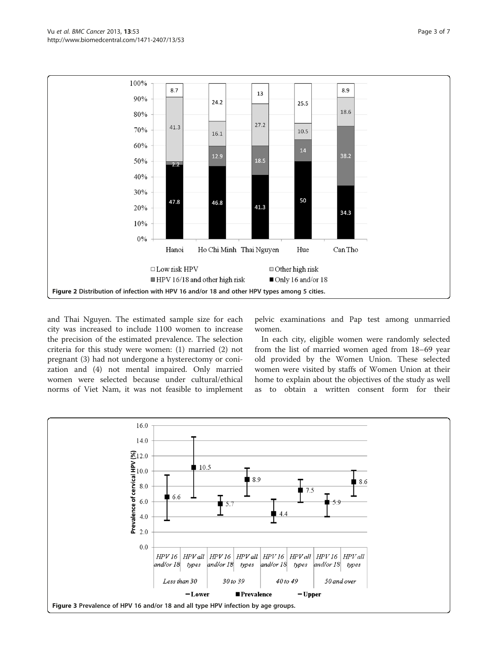<span id="page-2-0"></span>

and Thai Nguyen. The estimated sample size for each city was increased to include 1100 women to increase the precision of the estimated prevalence. The selection criteria for this study were women: (1) married (2) not pregnant (3) had not undergone a hysterectomy or conization and (4) not mental impaired. Only married women were selected because under cultural/ethical norms of Viet Nam, it was not feasible to implement pelvic examinations and Pap test among unmarried women.

In each city, eligible women were randomly selected from the list of married women aged from 18–69 year old provided by the Women Union. These selected women were visited by staffs of Women Union at their home to explain about the objectives of the study as well as to obtain a written consent form for their

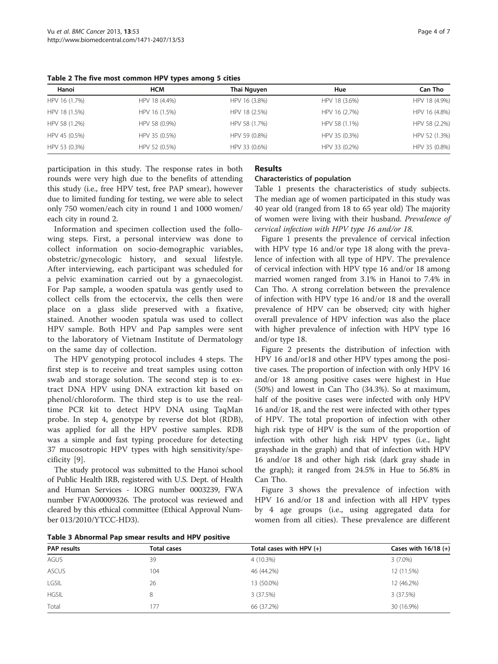| Hanoi         | <b>HCM</b>    | Thai Nguyen   | Hue           | Can Tho       |
|---------------|---------------|---------------|---------------|---------------|
| HPV 16 (1.7%) | HPV 18 (4.4%) | HPV 16 (3.8%) | HPV 18 (3.6%) | HPV 18 (4.9%) |
| HPV 18 (1.5%) | HPV 16 (1.5%) | HPV 18 (2.5%) | HPV 16 (2.7%) | HPV 16 (4.8%) |
| HPV 58 (1.2%) | HPV 58 (0.9%) | HPV 58 (1.7%) | HPV 58 (1.1%) | HPV 58 (2.2%) |
| HPV 45 (0.5%) | HPV 35 (0.5%) | HPV 59 (0.8%) | HPV 35 (0.3%) | HPV 52 (1.3%) |
| HPV 53 (0.3%) | HPV 52 (0.5%) | HPV 33 (0.6%) | HPV 33 (0.2%) | HPV 35 (0.8%) |

<span id="page-3-0"></span>Table 2 The five most common HPV types among 5 cities

participation in this study. The response rates in both rounds were very high due to the benefits of attending this study (i.e., free HPV test, free PAP smear), however due to limited funding for testing, we were able to select only 750 women/each city in round 1 and 1000 women/ each city in round 2.

Information and specimen collection used the following steps. First, a personal interview was done to collect information on socio-demographic variables, obstetric/gynecologic history, and sexual lifestyle. After interviewing, each participant was scheduled for a pelvic examination carried out by a gynaecologist. For Pap sample, a wooden spatula was gently used to collect cells from the ectocervix, the cells then were place on a glass slide preserved with a fixative, stained. Another wooden spatula was used to collect HPV sample. Both HPV and Pap samples were sent to the laboratory of Vietnam Institute of Dermatology on the same day of collection.

The HPV genotyping protocol includes 4 steps. The first step is to receive and treat samples using cotton swab and storage solution. The second step is to extract DNA HPV using DNA extraction kit based on phenol/chloroform. The third step is to use the realtime PCR kit to detect HPV DNA using TaqMan probe. In step 4, genotype by reverse dot blot (RDB), was applied for all the HPV postive samples. RDB was a simple and fast typing procedure for detecting 37 mucosotropic HPV types with high sensitivity/specificity [[9\]](#page-6-0).

The study protocol was submitted to the Hanoi school of Public Health IRB, registered with U.S. Dept. of Health and Human Services - IORG number 0003239, FWA number FWA00009326. The protocol was reviewed and cleared by this ethical committee (Ethical Approval Number 013/2010/YTCC-HD3).

# Results

## Characteristics of population

Table [1](#page-1-0) presents the characteristics of study subjects. The median age of women participated in this study was 40 year old (ranged from 18 to 65 year old) The majority of women were living with their husband. Prevalence of cervical infection with HPV type 16 and/or 18.

Figure [1](#page-1-0) presents the prevalence of cervical infection with HPV type 16 and/or type 18 along with the prevalence of infection with all type of HPV. The prevalence of cervical infection with HPV type 16 and/or 18 among married women ranged from 3.1% in Hanoi to 7.4% in Can Tho. A strong correlation between the prevalence of infection with HPV type 16 and/or 18 and the overall prevalence of HPV can be observed; city with higher overall prevalence of HPV infection was also the place with higher prevalence of infection with HPV type 16 and/or type 18.

Figure [2](#page-2-0) presents the distribution of infection with HPV 16 and/or18 and other HPV types among the positive cases. The proportion of infection with only HPV 16 and/or 18 among positive cases were highest in Hue (50%) and lowest in Can Tho (34.3%). So at maximum, half of the positive cases were infected with only HPV 16 and/or 18, and the rest were infected with other types of HPV. The total proportion of infection with other high risk type of HPV is the sum of the proportion of infection with other high risk HPV types (i.e., light grayshade in the graph) and that of infection with HPV 16 and/or 18 and other high risk (dark gray shade in the graph); it ranged from 24.5% in Hue to 56.8% in Can Tho.

Figure [3](#page-2-0) shows the prevalence of infection with HPV 16 and/or 18 and infection with all HPV types by 4 age groups (i.e., using aggregated data for women from all cities). These prevalence are different

| <b>PAP</b> results | <b>Total cases</b> | Total cases with HPV $(+)$ | Cases with $16/18 (+)$ |
|--------------------|--------------------|----------------------------|------------------------|
| <b>AGUS</b>        | 39                 | 4 (10.3%)                  | $3(7.0\%)$             |
| <b>ASCUS</b>       | 104                | 46 (44.2%)                 | 12 (11.5%)             |
| LGSIL              | 26                 | 13 (50.0%)                 | 12 (46.2%)             |
| <b>HGSIL</b>       | 8                  | 3 (37.5%)                  | 3(37.5%)               |
| Total              | 177                | 66 (37.2%)                 | 30 (16.9%)             |

Table 3 Abnormal Pap smear results and HPV positive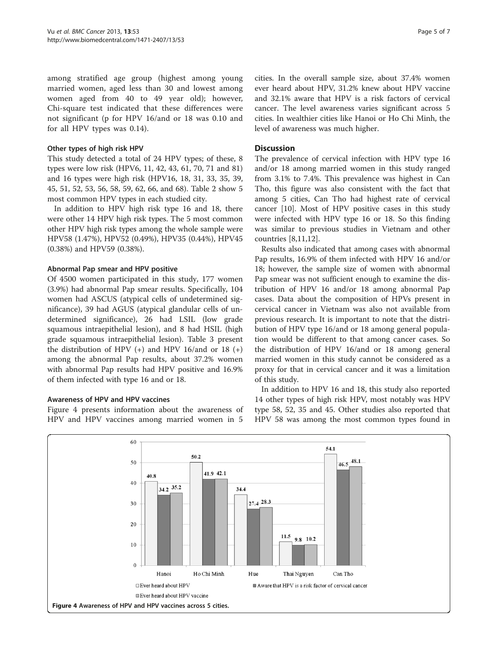among stratified age group (highest among young married women, aged less than 30 and lowest among women aged from 40 to 49 year old); however, Chi-square test indicated that these differences were not significant (p for HPV 16/and or 18 was 0.10 and for all HPV types was 0.14).

#### Other types of high risk HPV

This study detected a total of 24 HPV types; of these, 8 types were low risk (HPV6, 11, 42, 43, 61, 70, 71 and 81) and 16 types were high risk (HPV16, 18, 31, 33, 35, 39, 45, 51, 52, 53, 56, 58, 59, 62, 66, and 68). Table [2](#page-3-0) show 5 most common HPV types in each studied city.

In addition to HPV high risk type 16 and 18, there were other 14 HPV high risk types. The 5 most common other HPV high risk types among the whole sample were HPV58 (1.47%), HPV52 (0.49%), HPV35 (0.44%), HPV45 (0.38%) and HPV59 (0.38%).

## Abnormal Pap smear and HPV positive

Of 4500 women participated in this study, 177 women (3.9%) had abnormal Pap smear results. Specifically, 104 women had ASCUS (atypical cells of undetermined significance), 39 had AGUS (atypical glandular cells of undetermined significance), 26 had LSIL (low grade squamous intraepithelial lesion), and 8 had HSIL (high grade squamous intraepithelial lesion). Table [3](#page-3-0) present the distribution of HPV  $(+)$  and HPV 16/and or 18  $(+)$ among the abnormal Pap results, about 37.2% women with abnormal Pap results had HPV positive and 16.9% of them infected with type 16 and or 18.

## Awareness of HPV and HPV vaccines

Figure 4 presents information about the awareness of HPV and HPV vaccines among married women in 5

cities. In the overall sample size, about 37.4% women ever heard about HPV, 31.2% knew about HPV vaccine and 32.1% aware that HPV is a risk factors of cervical cancer. The level awareness varies significant across 5 cities. In wealthier cities like Hanoi or Ho Chi Minh, the level of awareness was much higher.

## Discussion

The prevalence of cervical infection with HPV type 16 and/or 18 among married women in this study ranged from 3.1% to 7.4%. This prevalence was highest in Can Tho, this figure was also consistent with the fact that among 5 cities, Can Tho had highest rate of cervical cancer [\[10](#page-6-0)]. Most of HPV positive cases in this study were infected with HPV type 16 or 18. So this finding was similar to previous studies in Vietnam and other countries [[8,11,12\]](#page-6-0).

Results also indicated that among cases with abnormal Pap results, 16.9% of them infected with HPV 16 and/or 18; however, the sample size of women with abnormal Pap smear was not sufficient enough to examine the distribution of HPV 16 and/or 18 among abnormal Pap cases. Data about the composition of HPVs present in cervical cancer in Vietnam was also not available from previous research. It is important to note that the distribution of HPV type 16/and or 18 among general population would be different to that among cancer cases. So the distribution of HPV 16/and or 18 among general married women in this study cannot be considered as a proxy for that in cervical cancer and it was a limitation of this study.

In addition to HPV 16 and 18, this study also reported 14 other types of high risk HPV, most notably was HPV type 58, 52, 35 and 45. Other studies also reported that HPV 58 was among the most common types found in

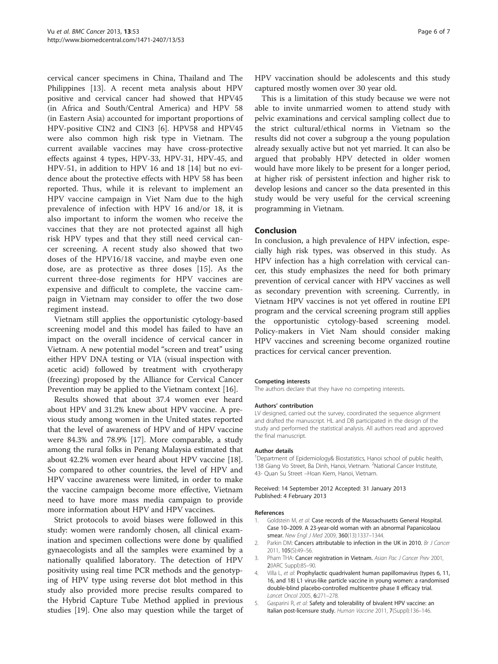<span id="page-5-0"></span>cervical cancer specimens in China, Thailand and The Philippines [\[13\]](#page-6-0). A recent meta analysis about HPV positive and cervical cancer had showed that HPV45 (in Africa and South/Central America) and HPV 58 (in Eastern Asia) accounted for important proportions of HPV-positive CIN2 and CIN3 [\[6](#page-6-0)]. HPV58 and HPV45 were also common high risk type in Vietnam. The current available vaccines may have cross-protective effects against 4 types, HPV-33, HPV-31, HPV-45, and HPV-51, in addition to HPV 16 and 18 [[14\]](#page-6-0) but no evidence about the protective effects with HPV 58 has been reported. Thus, while it is relevant to implement an HPV vaccine campaign in Viet Nam due to the high prevalence of infection with HPV 16 and/or 18, it is also important to inform the women who receive the vaccines that they are not protected against all high risk HPV types and that they still need cervical cancer screening. A recent study also showed that two doses of the HPV16/18 vaccine, and maybe even one dose, are as protective as three doses [[15\]](#page-6-0). As the current three-dose regiments for HPV vaccines are expensive and difficult to complete, the vaccine campaign in Vietnam may consider to offer the two dose regiment instead.

Vietnam still applies the opportunistic cytology-based screening model and this model has failed to have an impact on the overall incidence of cervical cancer in Vietnam. A new potential model "screen and treat" using either HPV DNA testing or VIA (visual inspection with acetic acid) followed by treatment with cryotherapy (freezing) proposed by the Alliance for Cervical Cancer Prevention may be applied to the Vietnam context [[16](#page-6-0)].

Results showed that about 37.4 women ever heard about HPV and 31.2% knew about HPV vaccine. A previous study among women in the United states reported that the level of awareness of HPV and of HPV vaccine were 84.3% and 78.9% [\[17](#page-6-0)]. More comparable, a study among the rural folks in Penang Malaysia estimated that about 42.2% women ever heard about HPV vaccine [\[18](#page-6-0)]. So compared to other countries, the level of HPV and HPV vaccine awareness were limited, in order to make the vaccine campaign become more effective, Vietnam need to have more mass media campaign to provide more information about HPV and HPV vaccines.

Strict protocols to avoid biases were followed in this study: women were randomly chosen, all clinical examination and specimen collections were done by qualified gynaecologists and all the samples were examined by a nationally qualified laboratory. The detection of HPV positivity using real time PCR methods and the genotyping of HPV type using reverse dot blot method in this study also provided more precise results compared to the Hybrid Capture Tube Method applied in previous studies [\[19\]](#page-6-0). One also may question while the target of HPV vaccination should be adolescents and this study captured mostly women over 30 year old.

This is a limitation of this study because we were not able to invite unmarried women to attend study with pelvic examinations and cervical sampling collect due to the strict cultural/ethical norms in Vietnam so the results did not cover a subgroup a the young population already sexually active but not yet married. It can also be argued that probably HPV detected in older women would have more likely to be present for a longer period, at higher risk of persistent infection and higher risk to develop lesions and cancer so the data presented in this study would be very useful for the cervical screening programming in Vietnam.

#### Conclusion

In conclusion, a high prevalence of HPV infection, especially high risk types, was observed in this study. As HPV infection has a high correlation with cervical cancer, this study emphasizes the need for both primary prevention of cervical cancer with HPV vaccines as well as secondary prevention with screening. Currently, in Vietnam HPV vaccines is not yet offered in routine EPI program and the cervical screening program still applies the opportunistic cytology-based screening model. Policy-makers in Viet Nam should consider making HPV vaccines and screening become organized routine practices for cervical cancer prevention.

#### Competing interests

The authors declare that they have no competing interests.

#### Authors' contribution

LV designed, carried out the survey, coordinated the sequence alignment and drafted the manuscript. HL and DB participated in the design of the study and performed the statistical analysis. All authors read and approved the final manuscript.

#### Author details

<sup>1</sup>Department of Epidemiology& Biostatistics, Hanoi school of public health 138 Giang Vo Street, Ba Dinh, Hanoi, Vietnam. <sup>2</sup>National Cancer Institute, 43- Quan Su Street –Hoan Kiem, Hanoi, Vietnam.

Received: 14 September 2012 Accepted: 31 January 2013 Published: 4 February 2013

#### References

- Goldstein M, et al: Case records of the Massachusetts General Hospital. Case 10–2009. A 23-year-old woman with an abnormal Papanicolaou smear. New Engl J Med 2009, 360(13):1337-1344.
- 2. Parkin DM: Cancers attributable to infection in the UK in 2010. Br J Cancer 2011, 105(S):49–56.
- 3. Pham THA: Cancer registration in Vietnam. Asian Pac J Cancer Prev 2001, 2(IARC Suppl):85–90.
- 4. Villa L, et al: Prophylactic quadrivalent human papillomavirus (types 6, 11, 16, and 18) L1 virus-like particle vaccine in young women: a randomised double-blind placebo-controlled multicentre phase II efficacy trial. Lancet Oncol 2005, 6:271–278.
- 5. Gasparini R, et al: Safety and tolerability of bivalent HPV vaccine: an Italian post-licensure study. Human Vaccine 2011, 7(Suppl):136–146.